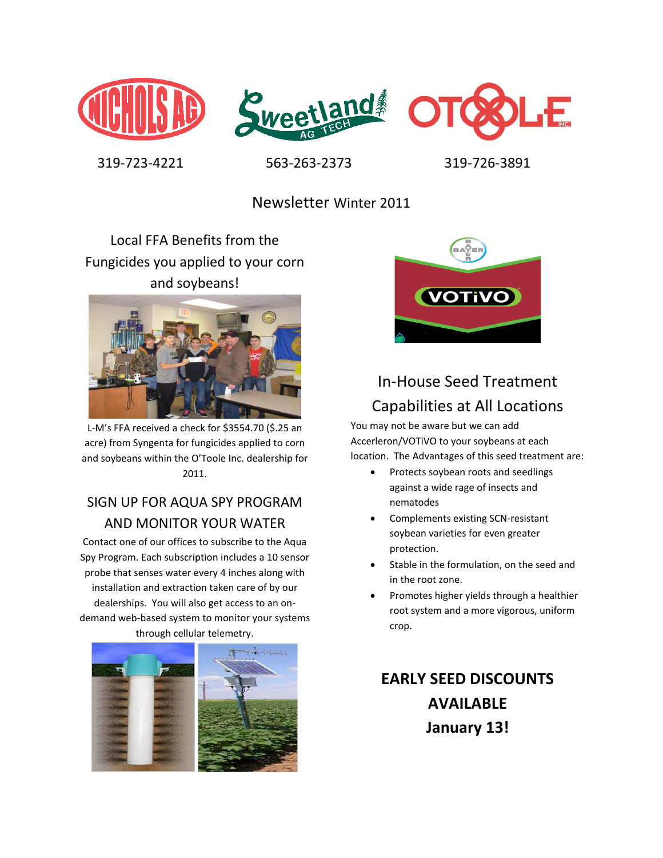





319-723-4221 563-263-2373 319-726-3891

Newsletter Winter 2011

Local FFA Benefits from the Fungicides you applied to your corn and soybeans!



L-M's FFA received a check for \$3554.70 (\$.25 an acre) from Syngenta for fungicides applied to corn and soybeans within the O'Toole Inc. dealership for 2011.

## SIGN UP FOR AQUA SPY PROGRAM AND MONITOR YOUR WATER

Contact one of our offices to subscribe to the Aqua Spy Program. Each subscription includes a 10 sensor probe that senses water every 4 inches along with installation and extraction taken care of by our dealerships. You will also get access to an ondemand web-based system to monitor your systems through cellular telemetry.





# In-House Seed Treatment Capabilities at All Locations

You may not be aware but we can add Accerleron/VOTiVO to your soybeans at each location. The Advantages of this seed treatment are:

- Protects soybean roots and seedlings against a wide rage of insects and nematodes
- Complements existing SCN-resistant soybean varieties for even greater protection.
- Stable in the formulation, on the seed and in the root zone.
- Promotes higher yields through a healthier root system and a more vigorous, uniform crop.

# **EARLY SEED DISCOUNTS AVAILABLE January 13!**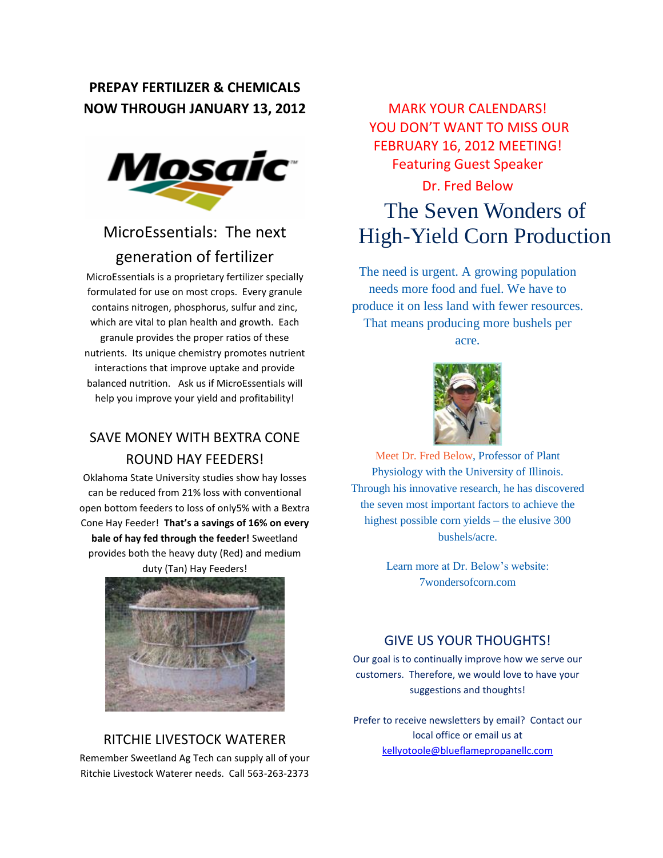### **PREPAY FERTILIZER & CHEMICALS NOW THROUGH JANUARY 13, 2012**



# MicroEssentials: The next generation of fertilizer

MicroEssentials is a proprietary fertilizer specially formulated for use on most crops. Every granule contains nitrogen, phosphorus, sulfur and zinc, which are vital to plan health and growth. Each granule provides the proper ratios of these nutrients. Its unique chemistry promotes nutrient interactions that improve uptake and provide balanced nutrition. Ask us if MicroEssentials will help you improve your yield and profitability!

## SAVE MONEY WITH BEXTRA CONE ROUND HAY FEEDERS!

Oklahoma State University studies show hay losses can be reduced from 21% loss with conventional open bottom feeders to loss of only5% with a Bextra Cone Hay Feeder! **That's a savings of 16% on every bale of hay fed through the feeder!** Sweetland provides both the heavy duty (Red) and medium duty (Tan) Hay Feeders!



### RITCHIE LIVESTOCK WATERER

Remember Sweetland Ag Tech can supply all of your Ritchie Livestock Waterer needs. Call 563-263-2373

MARK YOUR CALENDARS! YOU DON'T WANT TO MISS OUR FEBRUARY 16, 2012 MEETING! Featuring Guest Speaker

#### Dr. Fred Below

# The Seven Wonders of High-Yield Corn Production

The need is urgent. A growing population needs more food and fuel. We have to produce it on less land with fewer resources. That means producing more bushels per acre.



[Meet Dr. Fred Below,](http://cropsci.illinois.edu/directory/fbelow) Professor of Plant Physiology with the University of Illinois. Through his innovative research, he has discovered the seven most important factors to achieve the highest possible corn yields – the elusive 300 bushels/acre.

> Learn more at Dr. Below's website: 7wondersofcorn.com

#### GIVE US YOUR THOUGHTS!

Our goal is to continually improve how we serve our customers. Therefore, we would love to have your suggestions and thoughts!

Prefer to receive newsletters by email? Contact our local office or email us at [kellyotoole@blueflamepropanellc.com](mailto:kellyotoole@blueflamepropanellc.com)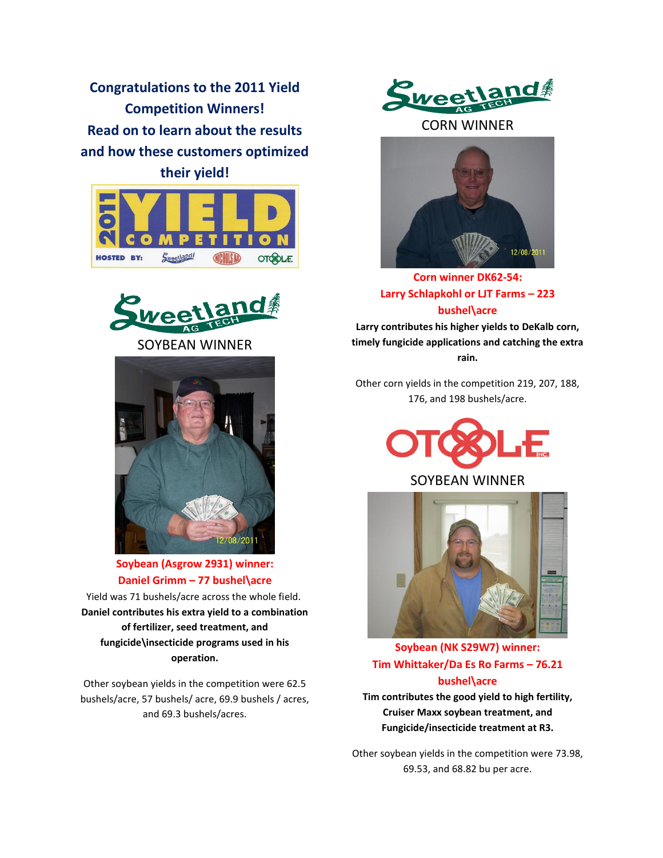**Congratulations to the 2011 Yield Competition Winners! Read on to learn about the results and how these customers optimized their yield!**





SOYBEAN WINNER

2/08/2011

**Soybean (Asgrow 2931) winner: Daniel Grimm – 77 bushel\acre**

Yield was 71 bushels/acre across the whole field. **Daniel contributes his extra yield to a combination of fertilizer, seed treatment, and fungicide\insecticide programs used in his operation.**

Other soybean yields in the competition were 62.5 bushels/acre, 57 bushels/ acre, 69.9 bushels / acres, and 69.3 bushels/acres.

Sweetland

CORN WINNER



**Corn winner DK62-54: Larry Schlapkohl or LJT Farms – 223 bushel\acre**

**Larry contributes his higher yields to DeKalb corn, timely fungicide applications and catching the extra rain.**

Other corn yields in the competition 219, 207, 188, 176, and 198 bushels/acre.



#### SOYBEAN WINNER



**Soybean (NK S29W7) winner: Tim Whittaker/Da Es Ro Farms – 76.21 bushel\acre**

**Tim contributes the good yield to high fertility, Cruiser Maxx soybean treatment, and Fungicide/insecticide treatment at R3.**

Other soybean yields in the competition were 73.98, 69.53, and 68.82 bu per acre.